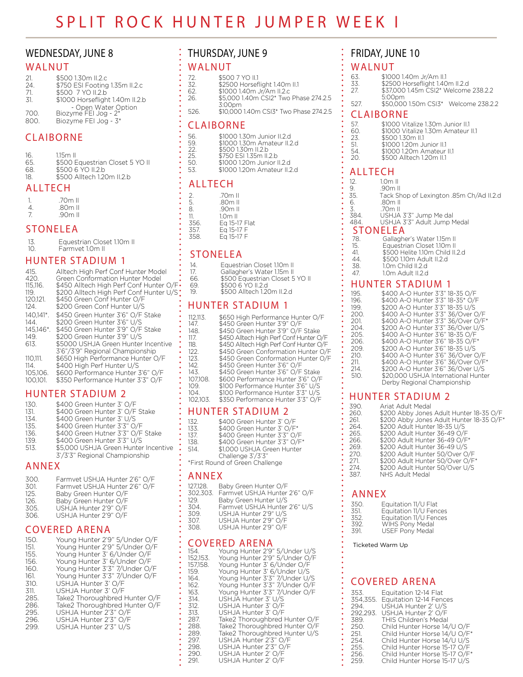## **WEDNESDAY, JUNE 8**

## WALNUT

| 21.  | \$500 1.30m II.2.c                          |
|------|---------------------------------------------|
| 24   | \$750 ESI Footing 1.35m II.2.c              |
| 71.  | \$500 7 YO II.2.b                           |
| 31.  | \$1000 Horseflight 1.40m II.2.b             |
|      | - Open Water Option<br>Biozyme FEI Jog - 2* |
| 700. |                                             |
| 800  | Biozyme FEI Jog - 3*                        |

## **CLAIBORNE**

| 16. | $1.15m$ II                      |
|-----|---------------------------------|
| 65. | \$500 Equestrian Closet 5 YO II |
| 68. | \$500 6 YO II.2.b               |
| 18  | \$500 Alltech 1.20m II.2.b      |

## **ALLTECH**

|   | .70m II |  |
|---|---------|--|
| 4 | .80m II |  |
|   | .90m II |  |

## **STONELEA**

| -13. | Equestrian Closet 1.10m II |
|------|----------------------------|
|      |                            |
| 10.  | Farmvet 1.0m II            |

## **HUNTER STADIUM 1**

| 415.<br>420.<br>115.116.<br>11.9.<br>120.121.<br>124.<br>$140.141^*$ .<br>144.<br>145.146*.<br>149.<br>613.<br>110.111.<br>114.<br>105.106.<br>100.101. | Alltech High Perf Conf Hunter Model<br>Green Conformation Hunter Model<br>\$450 Alltech High Perf Conf Hunter O/F<br>\$200 Alltech High Perf Conf Hunter U/S<br>\$450 Green Conf Hunter O/F<br>\$200 Green Conf Hunter U/S<br>\$450 Green Hunter 3'6" O/F Stake<br>\$200 Green Hunter 3'6" U/S<br>\$450 Green Hunter 3'9" O/F Stake<br>\$200 Green Hunter 3'9" U/S<br>\$5000 USHJA Green Hunter Incentive<br>3'6"/3'9" Regional Championship<br>\$650 High Performance Hunter O/F<br>\$400 High Perf Hunter U/S<br>\$600 Performance Hunter 3'6" O/F<br>\$350 Performance Hunter 3'3" O/F |
|---------------------------------------------------------------------------------------------------------------------------------------------------------|-------------------------------------------------------------------------------------------------------------------------------------------------------------------------------------------------------------------------------------------------------------------------------------------------------------------------------------------------------------------------------------------------------------------------------------------------------------------------------------------------------------------------------------------------------------------------------------------|
|                                                                                                                                                         |                                                                                                                                                                                                                                                                                                                                                                                                                                                                                                                                                                                           |

## **HUNTER STADIUM 2**

| 130. | \$400 Green Hunter 3' O/F            |
|------|--------------------------------------|
| 131. | \$400 Green Hunter 3' O/F Stake      |
| 134. | \$400 Green Hunter 3' U/S            |
| 135. | \$400 Green Hunter 3'3" O/F          |
| 136. | \$400 Green Hutner 3'3" O/F Stake    |
| 139. | \$400 Green Hunter 3'3" U/S          |
| 513. | \$5,000 USHJA Green Hunter Incentive |
|      | 3'/3'3" Regional Championship        |
|      |                                      |

## **ANNEX**

| 300. | Farmvet USHJA Hunter 2'6" O/F |
|------|-------------------------------|
| 301. | Farmvet USHJA Hunter 2'6" O/F |
| 125. | Baby Green Hunter O/F         |
| 126. | Baby Green Hunter O/F         |
| 305. | USHJA Hunter 2'9" O/F         |
| 306. | USHJA Hunter 2'9" O/F         |
|      |                               |

## **COVERED ARENA**

# THURSDAY, JUNE 9

### WALNUT

| 72.    | \$500 7 YO II.1                        |
|--------|----------------------------------------|
| 32.    | \$2500 Horseflight 1.40m II.1          |
| $\sim$ | $\uparrow$ 1000 140 $\uparrow$ 140 110 |

| -62. | \$1000 1.40m Jr/Am II.2.c  |
|------|----------------------------|
| -26. | \$5,000 1.40m CSI2* Two Ph |

| \$5,000 1.40m CSI2* Two Phase 274.2.5 |  |  |  |
|---------------------------------------|--|--|--|
| 7.00cm                                |  |  |  |

526. \$10,000 1.40m CSI3\* Two Phase 274.2.5

### **CLAIBORNE**

| 56. | \$1000 1.30m Junior II.2.d |
|-----|----------------------------|
| 59. | \$1000 1.30m Amateur II.2. |

- \$1000 1.30m Amateur II.2.d<br>\$500 1.30m II.2.b  $22.$ 
	- \$750 ESI 1.35m II.2.b
- $25$ 50.
- \$1000 1.20m Junior II.2.d<br>\$1000 1.20m Junior II.2.d<br>\$1000 1.20m Amateur II.2.d  $53.$

## **ALLTECH**

| 2. | .70m II   |
|----|-----------|
| 5. | .80m II   |
| 8. | .90m II   |
| 11 | $1.0m$ II |

| <b>IL</b> | LUITEI                        |
|-----------|-------------------------------|
| 356.      | Eq 15-17 Flat                 |
| フロフ       | $\Gamma \sim 1$ E 17 $\Gamma$ |

357. Eg 15-17 358. Eq 15-17 F

## **STONELEA**

 $14$ 

17 66

69  $19$ 

-1

- Equestrian Closet 1.10m II
- Gallagher's Water 1.15m II<br>\$500 Equestrian Closet 5 YO II
- 
- \$500 Equestion Stock.<br>\$500 6 YO II.2.d<br>\$500 Alltech 1.20m II.2.d

## **HUNTER STADIUM 1**

| 12.113.<br>47.<br>48.<br>17.<br>18.<br>22. | \$650 High Performance Hunter O/F<br>\$450 Green Hunter 3'9" O/F<br>\$450 Green Hunter 3'9" O/F Stake<br>\$450 Alltech High Perf Conf Hunter O/F<br>\$450 Alltech High Perf Conf Hunter O/F<br>\$450 Green Conformation Hunter O/F |
|--------------------------------------------|------------------------------------------------------------------------------------------------------------------------------------------------------------------------------------------------------------------------------------|
| 23.                                        | \$450 Green Conformation Hunter O/F                                                                                                                                                                                                |
| 42.                                        | \$450 Green Hunter 3'6" O/F                                                                                                                                                                                                        |
| 43.                                        | \$450 Green Hunter 3'6" O/F Stake                                                                                                                                                                                                  |
| 07.108.                                    | \$600 Performance Hunter 3'6" O/F                                                                                                                                                                                                  |
| 09.                                        | \$100 Performance Hunter 3'6" U/S                                                                                                                                                                                                  |
| 04.                                        | \$100 Performance Hunter 3'3" U/S                                                                                                                                                                                                  |
| 02.103.                                    | \$350 Performance Hunter 3'3" O/F                                                                                                                                                                                                  |
|                                            |                                                                                                                                                                                                                                    |

## **HUNTER STADIUM 2**

| 132.                            | \$400 Green Hunter 3' O/F    |
|---------------------------------|------------------------------|
| 133.                            | \$400 Green Hunter 3' O/F*   |
| 137.                            | \$400 Green Hunter 3'3" O/F  |
| 138.                            | \$400 Green Hunter 3'3" O/F* |
| 514.                            | \$1,000 USHJA Green Hunter   |
|                                 | Challenge 3'/3'3"            |
| *First Round of Green Challenge |                              |

## **ANNEX**

| 127,128. | Baby Green Hunter O/F |
|----------|-----------------------|
| フハヘ フハフ  |                       |

| $\sim$ , $\sim$ . | DUNY ORGHITIONIC OF                    |
|-------------------|----------------------------------------|
|                   | 302,303. Farmvet USHJA Hunter 2'6" O/F |
| 12Q               | Rahy Green Hunter LI/S                 |

- $\frac{129}{304}$ Farmvet USHJA Hunter 2'6" U/S
- USHJA Hunter 2'9" U/S<br>USHJA Hunter 2'9" O/F<br>USHJA Hunter 2'9" O/F 309.
- 307.
- 308.

## **COVERED ARENA**

|  | 154.<br>152.153.<br>157.158.<br>159.<br>164.<br>162.<br>163.<br>314.<br>312.<br>313.<br>287.<br>288.<br>289.<br>297.<br>298.<br>290.<br>291. | Young Hunter 2'9" 5/Under U/S<br>Young Hunter 2'9" 5/Under O/F<br>Young Hunter 3' 6/Under O/F<br>Young Hunter 3' 6/Under U/S<br>Young Hunter 3'3" 7/Under U/S<br>Young Hunter 3'3" 7/Under O/F<br>Young Hunter 3'3" 7/Under O/F<br>USHJA Hunter 3' U/S<br>USHJA Hunter 3' O/F<br>USHJA Hunter 3' O/F<br>Take2 Thoroughbred Hunter O/F<br>Take2 Thoroughbred Hunter O/F<br>Take2 Thoroughbred Hunter U/S<br>USHJA Hunter 2'3" O/F<br>USHJA Hunter 2'3" O/F<br>USHJA Hunter 2' O/F<br>USHJA Hunter 2' O/F |
|--|----------------------------------------------------------------------------------------------------------------------------------------------|---------------------------------------------------------------------------------------------------------------------------------------------------------------------------------------------------------------------------------------------------------------------------------------------------------------------------------------------------------------------------------------------------------------------------------------------------------------------------------------------------------|
|--|----------------------------------------------------------------------------------------------------------------------------------------------|---------------------------------------------------------------------------------------------------------------------------------------------------------------------------------------------------------------------------------------------------------------------------------------------------------------------------------------------------------------------------------------------------------------------------------------------------------------------------------------------------------|

# FRIDAY, JUNE 10

#### WALNUT

- 63. \$1000 1.40m Jr/Am II.1  $\overline{33}$ . \$2500 Horseflight 1.40m II.2.d
- $27.$ \$37,000 1.45m CSI2\* Welcome 238.2.2
- 5:00pm
- 527. \$50,000 1.50m CSI3\* Welcome 238.2.2

## **CLAIBORNE**

| 57. | \$1000 Vitalize 1.30m Junior II.1  |
|-----|------------------------------------|
| 60. | \$1000 Vitalize 1.30m Amateur II.1 |
| 23. | \$500 1.30m II.1                   |
| 51. | \$1000 1.20m Junior II.1           |
| 54. | \$1000 1.20m Amateur II.1          |
| 20  | \$500 Alltech 1.20m II.1           |

## **ALLTECH**

| 1.0m II                                  |
|------------------------------------------|
| .90m II                                  |
| Tack Shop of Lexington .85m Ch/Ad II.2.d |
| .80m II                                  |
| 70 <sub>m</sub> II                       |
| USHJA 3'3" Jump Me dal                   |
| USHJA 3'3" Adult Jump Medal              |
| <b>STONELEA</b>                          |
| Gallagher's Water 1.15m II               |
| Equestrian Closet 1.10m II               |
| \$500 Helite 1.10m Child II.2.d          |
| \$500 1.10m Adult II.2.d                 |
| 1.0m Child II.2.d                        |
| 1.0m Adult II.2.d                        |
|                                          |

## **HUNTER STADIUM 1**

| 195. | \$400 A-O Hunter 3'3" 18-35 O/F     |
|------|-------------------------------------|
| 196. | \$400 A-O Hunter 3'3" 18-35* O/F    |
| 199. | \$200 A-O Hunter 3'3" 18-35 U/S     |
| 200. | \$400 A-O Hunter 3'3" 36/Over O/F   |
| 201. | \$400 A-O Hunter 3'3" 36/Over O/F*  |
| 204. | \$200 A-O Hunter 3'3" 36/Over U/S   |
| 205. | \$400 A-O Hunter 3'6" 18-35 O/F     |
| 206. | \$400 A-O Hunter 3'6" 18-35 O/F*    |
| 209. | \$200 A-O Hunter 3'6" 18-35 U/S     |
| 210. | \$400 A-O Hunter 3'6" 36/Over O/F   |
| 211. | \$400 A-O Hunter 3'6" 36/Over O/F*  |
| 214. | \$200 A-O Hunter 3'6" 36/Over U/S   |
| 510. | \$20,000 USHJA International Hunter |
|      | Derby Regional Championship         |

## **HUNTER STADIUM 2**

| 390. | Ariat Adult Medal                       |
|------|-----------------------------------------|
| 260. | \$200 Abby Jones Adult Hunter 18-35 O/F |
| 261. | \$200 Abby Jones Adult Hunter 18-35 O/F |
| 264. | \$200 Adult Hunter 18-35 U/S            |
| 265. | \$200 Adult Hunter 36-49 O/F            |
| 266. | \$200 Adult Hunter 36-49 O/F*           |
| 269. | \$200 Adult Hunter 36-49 U/S            |
| 270. | \$200 Adult Hunter 50/Over O/F          |
| 271. | \$200 Adult Hunter 50/Over O/F*         |
| 274. | \$200 Adult Hunter 50/Over U/S          |
| 387. | NHS Adult Medal                         |
|      |                                         |

## **ANNEX**

| 350. | Equitation 11/U Flat   |
|------|------------------------|
| 351. | Equitation 11/U Fences |
| 352. | Equitation 11/U Fences |
| 392. | WIHS Pony Medal        |
| 391. | <b>USEF Pony Medal</b> |

Ticketed Warm Up

## **COVERED ARENA**

| 353.     | Equitation 12-14 Flat          |
|----------|--------------------------------|
| 354,355. | <b>Equitation 12-14 Fences</b> |
| 294      | USHJA Hunter 2' U/S            |
| 292.293. | USHJA Hunter 2' O/F            |
| 389.     | <b>THIS Children's Medal</b>   |
| 250.     | Child Hunter Horse 14/U O/F    |
| 251.     | Child Hunter Horse 14/U O/F*   |
| 254.     | Child Hunter Horse 14/U U/S    |
| 255.     | Child Hunter Horse 15-17 O/F   |
| 256.     | Child Hunter Horse 15-17 O/F*  |
| 259      | Child Hunter Horse 15-17 U/S   |
|          |                                |